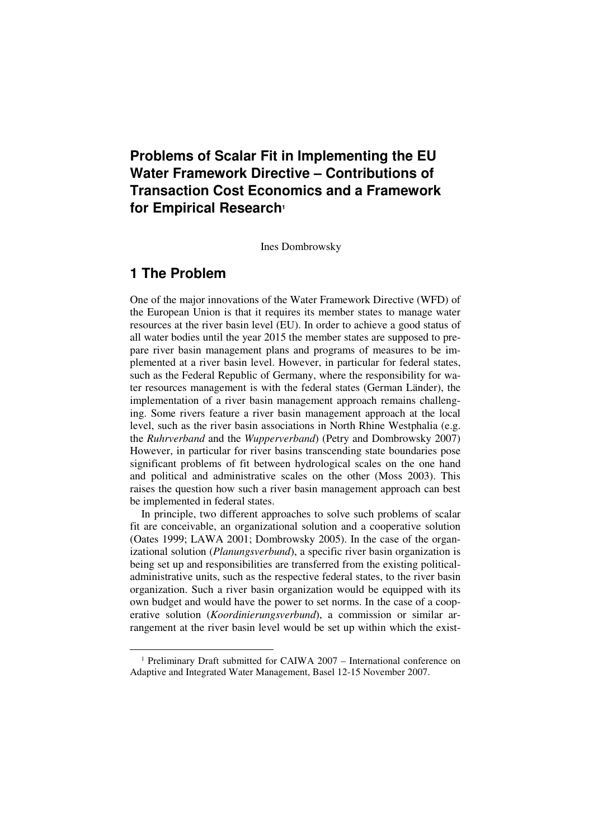# **Problems of Scalar Fit in Implementing the EU Water Framework Directive – Contributions of Transaction Cost Economics and a Framework for Empirical Research<sup>1</sup>**

Ines Dombrowsky

### **1 The Problem**

 $\overline{a}$ 

One of the major innovations of the Water Framework Directive (WFD) of the European Union is that it requires its member states to manage water resources at the river basin level (EU). In order to achieve a good status of all water bodies until the year 2015 the member states are supposed to prepare river basin management plans and programs of measures to be implemented at a river basin level. However, in particular for federal states, such as the Federal Republic of Germany, where the responsibility for water resources management is with the federal states (German Länder), the implementation of a river basin management approach remains challenging. Some rivers feature a river basin management approach at the local level, such as the river basin associations in North Rhine Westphalia (e.g. the *Ruhrverband* and the *Wupperverband*) (Petry and Dombrowsky 2007) However, in particular for river basins transcending state boundaries pose significant problems of fit between hydrological scales on the one hand and political and administrative scales on the other (Moss 2003). This raises the question how such a river basin management approach can best be implemented in federal states.

In principle, two different approaches to solve such problems of scalar fit are conceivable, an organizational solution and a cooperative solution (Oates 1999; LAWA 2001; Dombrowsky 2005). In the case of the organizational solution (*Planungsverbund*), a specific river basin organization is being set up and responsibilities are transferred from the existing politicaladministrative units, such as the respective federal states, to the river basin organization. Such a river basin organization would be equipped with its own budget and would have the power to set norms. In the case of a cooperative solution (*Koordinierungsverbund*), a commission or similar arrangement at the river basin level would be set up within which the exist-

<sup>&</sup>lt;sup>1</sup> Preliminary Draft submitted for CAIWA 2007 – International conference on Adaptive and Integrated Water Management, Basel 12-15 November 2007.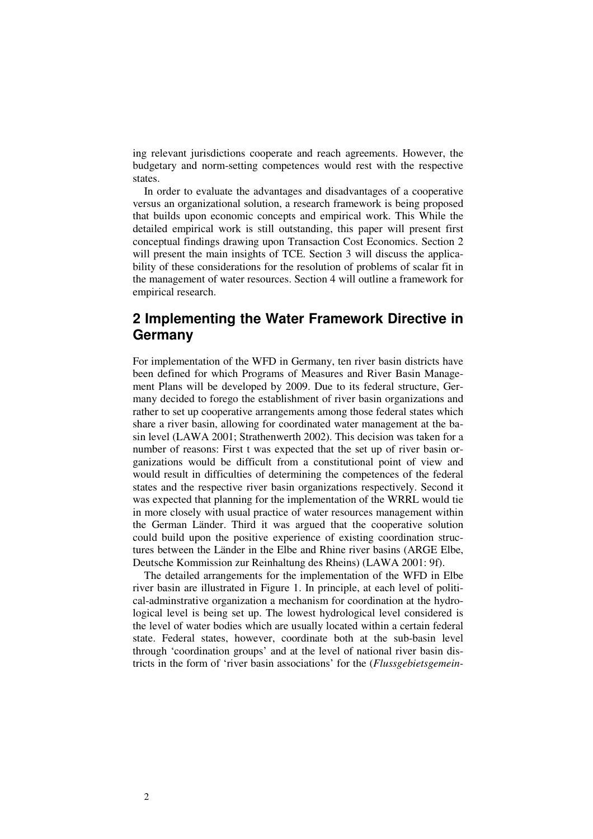ing relevant jurisdictions cooperate and reach agreements. However, the budgetary and norm-setting competences would rest with the respective states.

In order to evaluate the advantages and disadvantages of a cooperative versus an organizational solution, a research framework is being proposed that builds upon economic concepts and empirical work. This While the detailed empirical work is still outstanding, this paper will present first conceptual findings drawing upon Transaction Cost Economics. Section 2 will present the main insights of TCE. Section 3 will discuss the applicability of these considerations for the resolution of problems of scalar fit in the management of water resources. Section 4 will outline a framework for empirical research.

## **2 Implementing the Water Framework Directive in Germany**

For implementation of the WFD in Germany, ten river basin districts have been defined for which Programs of Measures and River Basin Management Plans will be developed by 2009. Due to its federal structure, Germany decided to forego the establishment of river basin organizations and rather to set up cooperative arrangements among those federal states which share a river basin, allowing for coordinated water management at the basin level (LAWA 2001; Strathenwerth 2002). This decision was taken for a number of reasons: First t was expected that the set up of river basin organizations would be difficult from a constitutional point of view and would result in difficulties of determining the competences of the federal states and the respective river basin organizations respectively. Second it was expected that planning for the implementation of the WRRL would tie in more closely with usual practice of water resources management within the German Länder. Third it was argued that the cooperative solution could build upon the positive experience of existing coordination structures between the Länder in the Elbe and Rhine river basins (ARGE Elbe, Deutsche Kommission zur Reinhaltung des Rheins) (LAWA 2001: 9f).

The detailed arrangements for the implementation of the WFD in Elbe river basin are illustrated in Figure 1. In principle, at each level of political-adminstrative organization a mechanism for coordination at the hydrological level is being set up. The lowest hydrological level considered is the level of water bodies which are usually located within a certain federal state. Federal states, however, coordinate both at the sub-basin level through 'coordination groups' and at the level of national river basin districts in the form of 'river basin associations' for the (*Flussgebietsgemein-*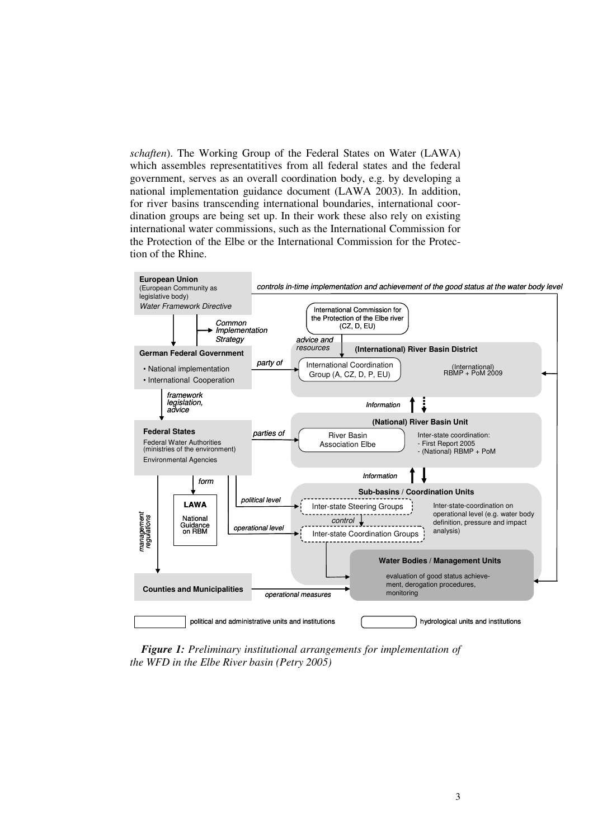*schaften*). The Working Group of the Federal States on Water (LAWA) which assembles representatitives from all federal states and the federal government, serves as an overall coordination body, e.g. by developing a national implementation guidance document (LAWA 2003). In addition, for river basins transcending international boundaries, international coordination groups are being set up. In their work these also rely on existing international water commissions, such as the International Commission for the Protection of the Elbe or the International Commission for the Protection of the Rhine.



*Figure 1: Preliminary institutional arrangements for implementation of the WFD in the Elbe River basin (Petry 2005)*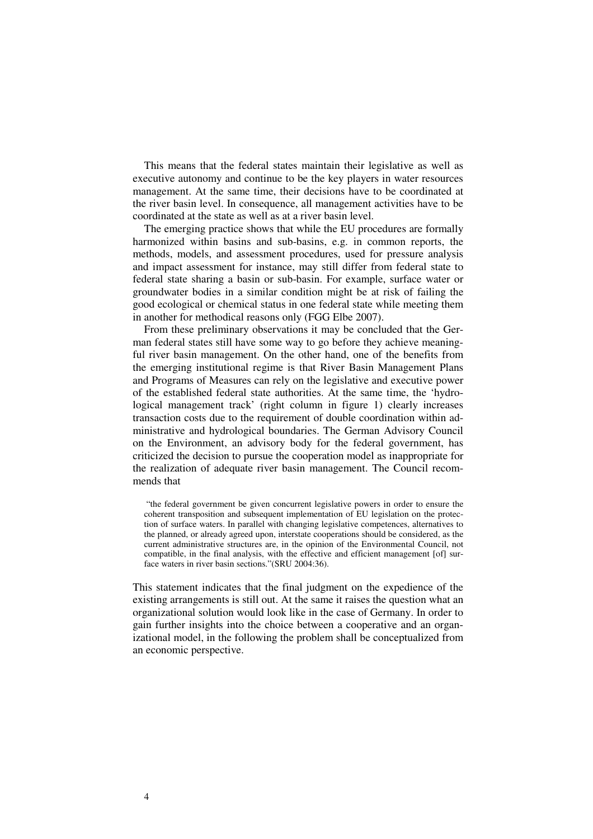This means that the federal states maintain their legislative as well as executive autonomy and continue to be the key players in water resources management. At the same time, their decisions have to be coordinated at the river basin level. In consequence, all management activities have to be coordinated at the state as well as at a river basin level.

The emerging practice shows that while the EU procedures are formally harmonized within basins and sub-basins, e.g. in common reports, the methods, models, and assessment procedures, used for pressure analysis and impact assessment for instance, may still differ from federal state to federal state sharing a basin or sub-basin. For example, surface water or groundwater bodies in a similar condition might be at risk of failing the good ecological or chemical status in one federal state while meeting them in another for methodical reasons only (FGG Elbe 2007).

From these preliminary observations it may be concluded that the German federal states still have some way to go before they achieve meaningful river basin management. On the other hand, one of the benefits from the emerging institutional regime is that River Basin Management Plans and Programs of Measures can rely on the legislative and executive power of the established federal state authorities. At the same time, the 'hydrological management track' (right column in figure 1) clearly increases transaction costs due to the requirement of double coordination within administrative and hydrological boundaries. The German Advisory Council on the Environment, an advisory body for the federal government, has criticized the decision to pursue the cooperation model as inappropriate for the realization of adequate river basin management. The Council recommends that

 "the federal government be given concurrent legislative powers in order to ensure the coherent transposition and subsequent implementation of EU legislation on the protection of surface waters. In parallel with changing legislative competences, alternatives to the planned, or already agreed upon, interstate cooperations should be considered, as the current administrative structures are, in the opinion of the Environmental Council, not compatible, in the final analysis, with the effective and efficient management [of] surface waters in river basin sections."(SRU 2004:36).

This statement indicates that the final judgment on the expedience of the existing arrangements is still out. At the same it raises the question what an organizational solution would look like in the case of Germany. In order to gain further insights into the choice between a cooperative and an organizational model, in the following the problem shall be conceptualized from an economic perspective.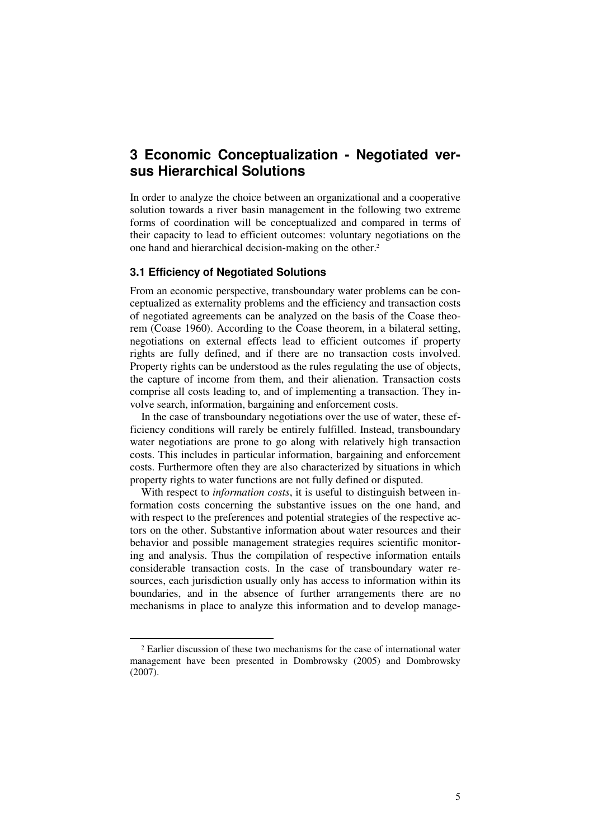### **3 Economic Conceptualization - Negotiated versus Hierarchical Solutions**

In order to analyze the choice between an organizational and a cooperative solution towards a river basin management in the following two extreme forms of coordination will be conceptualized and compared in terms of their capacity to lead to efficient outcomes: voluntary negotiations on the one hand and hierarchical decision-making on the other.<sup>2</sup>

#### **3.1 Efficiency of Negotiated Solutions**

From an economic perspective, transboundary water problems can be conceptualized as externality problems and the efficiency and transaction costs of negotiated agreements can be analyzed on the basis of the Coase theorem (Coase 1960). According to the Coase theorem, in a bilateral setting, negotiations on external effects lead to efficient outcomes if property rights are fully defined, and if there are no transaction costs involved. Property rights can be understood as the rules regulating the use of objects, the capture of income from them, and their alienation. Transaction costs comprise all costs leading to, and of implementing a transaction. They involve search, information, bargaining and enforcement costs.

In the case of transboundary negotiations over the use of water, these efficiency conditions will rarely be entirely fulfilled. Instead, transboundary water negotiations are prone to go along with relatively high transaction costs. This includes in particular information, bargaining and enforcement costs. Furthermore often they are also characterized by situations in which property rights to water functions are not fully defined or disputed.

With respect to *information costs*, it is useful to distinguish between information costs concerning the substantive issues on the one hand, and with respect to the preferences and potential strategies of the respective actors on the other. Substantive information about water resources and their behavior and possible management strategies requires scientific monitoring and analysis. Thus the compilation of respective information entails considerable transaction costs. In the case of transboundary water resources, each jurisdiction usually only has access to information within its boundaries, and in the absence of further arrangements there are no mechanisms in place to analyze this information and to develop manage-

 $\overline{a}$ 

<sup>2</sup> Earlier discussion of these two mechanisms for the case of international water management have been presented in Dombrowsky (2005) and Dombrowsky (2007).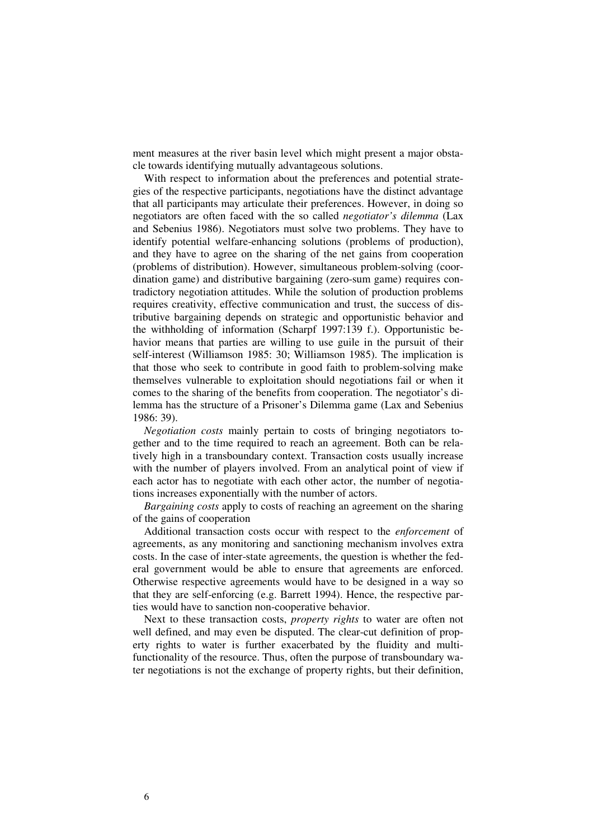ment measures at the river basin level which might present a major obstacle towards identifying mutually advantageous solutions.

With respect to information about the preferences and potential strategies of the respective participants, negotiations have the distinct advantage that all participants may articulate their preferences. However, in doing so negotiators are often faced with the so called *negotiator's dilemma* (Lax and Sebenius 1986). Negotiators must solve two problems. They have to identify potential welfare-enhancing solutions (problems of production), and they have to agree on the sharing of the net gains from cooperation (problems of distribution). However, simultaneous problem-solving (coordination game) and distributive bargaining (zero-sum game) requires contradictory negotiation attitudes. While the solution of production problems requires creativity, effective communication and trust, the success of distributive bargaining depends on strategic and opportunistic behavior and the withholding of information (Scharpf 1997:139 f.). Opportunistic behavior means that parties are willing to use guile in the pursuit of their self-interest (Williamson 1985: 30; Williamson 1985). The implication is that those who seek to contribute in good faith to problem-solving make themselves vulnerable to exploitation should negotiations fail or when it comes to the sharing of the benefits from cooperation. The negotiator's dilemma has the structure of a Prisoner's Dilemma game (Lax and Sebenius 1986: 39).

*Negotiation costs* mainly pertain to costs of bringing negotiators together and to the time required to reach an agreement. Both can be relatively high in a transboundary context. Transaction costs usually increase with the number of players involved. From an analytical point of view if each actor has to negotiate with each other actor, the number of negotiations increases exponentially with the number of actors.

*Bargaining costs* apply to costs of reaching an agreement on the sharing of the gains of cooperation

Additional transaction costs occur with respect to the *enforcement* of agreements, as any monitoring and sanctioning mechanism involves extra costs. In the case of inter-state agreements, the question is whether the federal government would be able to ensure that agreements are enforced. Otherwise respective agreements would have to be designed in a way so that they are self-enforcing (e.g. Barrett 1994). Hence, the respective parties would have to sanction non-cooperative behavior.

Next to these transaction costs, *property rights* to water are often not well defined, and may even be disputed. The clear-cut definition of property rights to water is further exacerbated by the fluidity and multifunctionality of the resource. Thus, often the purpose of transboundary water negotiations is not the exchange of property rights, but their definition,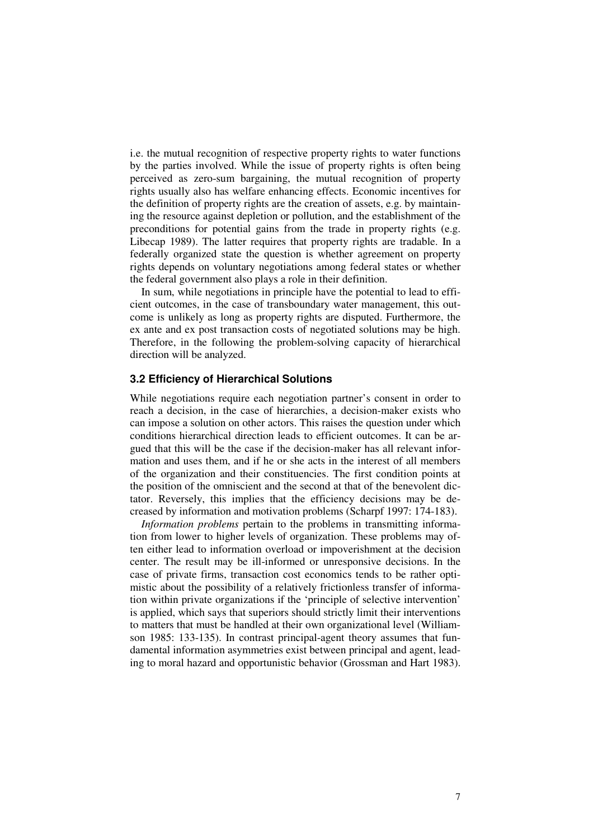i.e. the mutual recognition of respective property rights to water functions by the parties involved. While the issue of property rights is often being perceived as zero-sum bargaining, the mutual recognition of property rights usually also has welfare enhancing effects. Economic incentives for the definition of property rights are the creation of assets, e.g. by maintaining the resource against depletion or pollution, and the establishment of the preconditions for potential gains from the trade in property rights (e.g. Libecap 1989). The latter requires that property rights are tradable. In a federally organized state the question is whether agreement on property rights depends on voluntary negotiations among federal states or whether the federal government also plays a role in their definition.

In sum, while negotiations in principle have the potential to lead to efficient outcomes, in the case of transboundary water management, this outcome is unlikely as long as property rights are disputed. Furthermore, the ex ante and ex post transaction costs of negotiated solutions may be high. Therefore, in the following the problem-solving capacity of hierarchical direction will be analyzed.

#### **3.2 Efficiency of Hierarchical Solutions**

While negotiations require each negotiation partner's consent in order to reach a decision, in the case of hierarchies, a decision-maker exists who can impose a solution on other actors. This raises the question under which conditions hierarchical direction leads to efficient outcomes. It can be argued that this will be the case if the decision-maker has all relevant information and uses them, and if he or she acts in the interest of all members of the organization and their constituencies. The first condition points at the position of the omniscient and the second at that of the benevolent dictator. Reversely, this implies that the efficiency decisions may be decreased by information and motivation problems (Scharpf 1997: 174-183).

*Information problems* pertain to the problems in transmitting information from lower to higher levels of organization. These problems may often either lead to information overload or impoverishment at the decision center. The result may be ill-informed or unresponsive decisions. In the case of private firms, transaction cost economics tends to be rather optimistic about the possibility of a relatively frictionless transfer of information within private organizations if the 'principle of selective intervention' is applied, which says that superiors should strictly limit their interventions to matters that must be handled at their own organizational level (Williamson 1985: 133-135). In contrast principal-agent theory assumes that fundamental information asymmetries exist between principal and agent, leading to moral hazard and opportunistic behavior (Grossman and Hart 1983).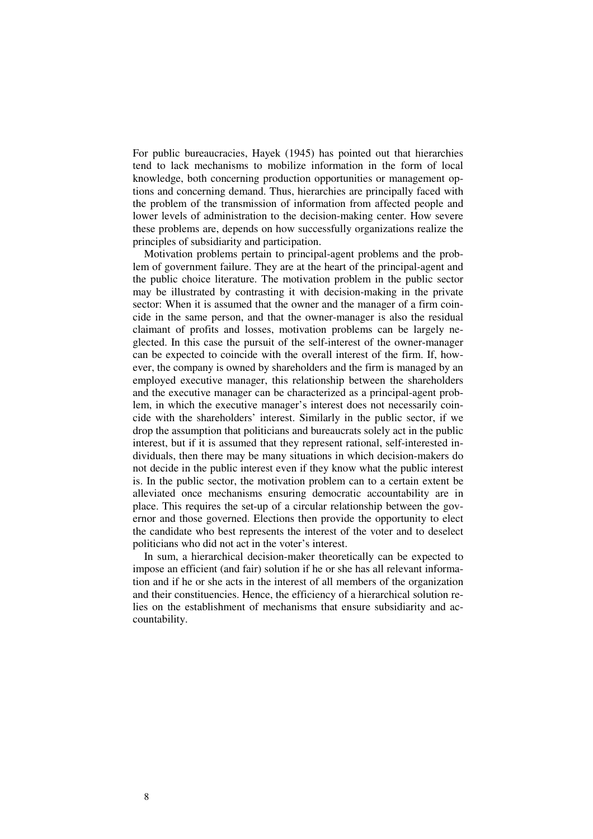For public bureaucracies, Hayek (1945) has pointed out that hierarchies tend to lack mechanisms to mobilize information in the form of local knowledge, both concerning production opportunities or management options and concerning demand. Thus, hierarchies are principally faced with the problem of the transmission of information from affected people and lower levels of administration to the decision-making center. How severe these problems are, depends on how successfully organizations realize the principles of subsidiarity and participation.

Motivation problems pertain to principal-agent problems and the problem of government failure. They are at the heart of the principal-agent and the public choice literature. The motivation problem in the public sector may be illustrated by contrasting it with decision-making in the private sector: When it is assumed that the owner and the manager of a firm coincide in the same person, and that the owner-manager is also the residual claimant of profits and losses, motivation problems can be largely neglected. In this case the pursuit of the self-interest of the owner-manager can be expected to coincide with the overall interest of the firm. If, however, the company is owned by shareholders and the firm is managed by an employed executive manager, this relationship between the shareholders and the executive manager can be characterized as a principal-agent problem, in which the executive manager's interest does not necessarily coincide with the shareholders' interest. Similarly in the public sector, if we drop the assumption that politicians and bureaucrats solely act in the public interest, but if it is assumed that they represent rational, self-interested individuals, then there may be many situations in which decision-makers do not decide in the public interest even if they know what the public interest is. In the public sector, the motivation problem can to a certain extent be alleviated once mechanisms ensuring democratic accountability are in place. This requires the set-up of a circular relationship between the governor and those governed. Elections then provide the opportunity to elect the candidate who best represents the interest of the voter and to deselect politicians who did not act in the voter's interest.

In sum, a hierarchical decision-maker theoretically can be expected to impose an efficient (and fair) solution if he or she has all relevant information and if he or she acts in the interest of all members of the organization and their constituencies. Hence, the efficiency of a hierarchical solution relies on the establishment of mechanisms that ensure subsidiarity and accountability.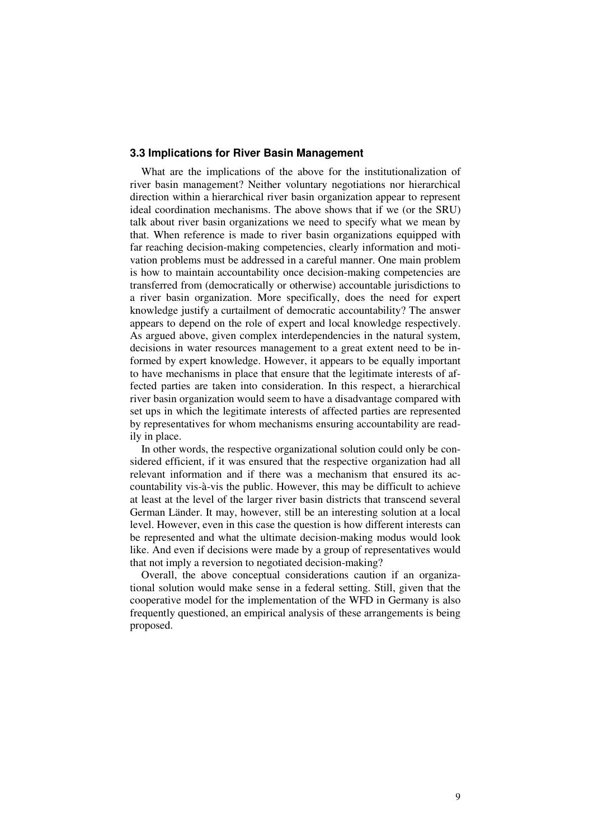#### **3.3 Implications for River Basin Management**

What are the implications of the above for the institutionalization of river basin management? Neither voluntary negotiations nor hierarchical direction within a hierarchical river basin organization appear to represent ideal coordination mechanisms. The above shows that if we (or the SRU) talk about river basin organizations we need to specify what we mean by that. When reference is made to river basin organizations equipped with far reaching decision-making competencies, clearly information and motivation problems must be addressed in a careful manner. One main problem is how to maintain accountability once decision-making competencies are transferred from (democratically or otherwise) accountable jurisdictions to a river basin organization. More specifically, does the need for expert knowledge justify a curtailment of democratic accountability? The answer appears to depend on the role of expert and local knowledge respectively. As argued above, given complex interdependencies in the natural system, decisions in water resources management to a great extent need to be informed by expert knowledge. However, it appears to be equally important to have mechanisms in place that ensure that the legitimate interests of affected parties are taken into consideration. In this respect, a hierarchical river basin organization would seem to have a disadvantage compared with set ups in which the legitimate interests of affected parties are represented by representatives for whom mechanisms ensuring accountability are readily in place.

In other words, the respective organizational solution could only be considered efficient, if it was ensured that the respective organization had all relevant information and if there was a mechanism that ensured its accountability vis-à-vis the public. However, this may be difficult to achieve at least at the level of the larger river basin districts that transcend several German Länder. It may, however, still be an interesting solution at a local level. However, even in this case the question is how different interests can be represented and what the ultimate decision-making modus would look like. And even if decisions were made by a group of representatives would that not imply a reversion to negotiated decision-making?

Overall, the above conceptual considerations caution if an organizational solution would make sense in a federal setting. Still, given that the cooperative model for the implementation of the WFD in Germany is also frequently questioned, an empirical analysis of these arrangements is being proposed.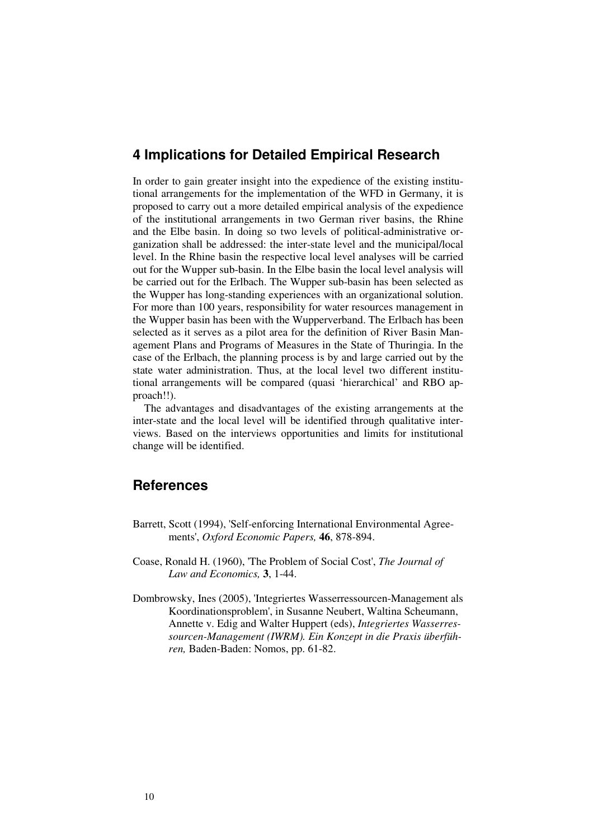### **4 Implications for Detailed Empirical Research**

In order to gain greater insight into the expedience of the existing institutional arrangements for the implementation of the WFD in Germany, it is proposed to carry out a more detailed empirical analysis of the expedience of the institutional arrangements in two German river basins, the Rhine and the Elbe basin. In doing so two levels of political-administrative organization shall be addressed: the inter-state level and the municipal/local level. In the Rhine basin the respective local level analyses will be carried out for the Wupper sub-basin. In the Elbe basin the local level analysis will be carried out for the Erlbach. The Wupper sub-basin has been selected as the Wupper has long-standing experiences with an organizational solution. For more than 100 years, responsibility for water resources management in the Wupper basin has been with the Wupperverband. The Erlbach has been selected as it serves as a pilot area for the definition of River Basin Management Plans and Programs of Measures in the State of Thuringia. In the case of the Erlbach, the planning process is by and large carried out by the state water administration. Thus, at the local level two different institutional arrangements will be compared (quasi 'hierarchical' and RBO approach!!).

The advantages and disadvantages of the existing arrangements at the inter-state and the local level will be identified through qualitative interviews. Based on the interviews opportunities and limits for institutional change will be identified.

# **References**

- Barrett, Scott (1994), 'Self-enforcing International Environmental Agreements', *Oxford Economic Papers,* **46**, 878-894.
- Coase, Ronald H. (1960), 'The Problem of Social Cost', *The Journal of Law and Economics,* **3**, 1-44.
- Dombrowsky, Ines (2005), 'Integriertes Wasserressourcen-Management als Koordinationsproblem', in Susanne Neubert, Waltina Scheumann, Annette v. Edig and Walter Huppert (eds), *Integriertes Wasserressourcen-Management (IWRM). Ein Konzept in die Praxis überführen,* Baden-Baden: Nomos, pp. 61-82.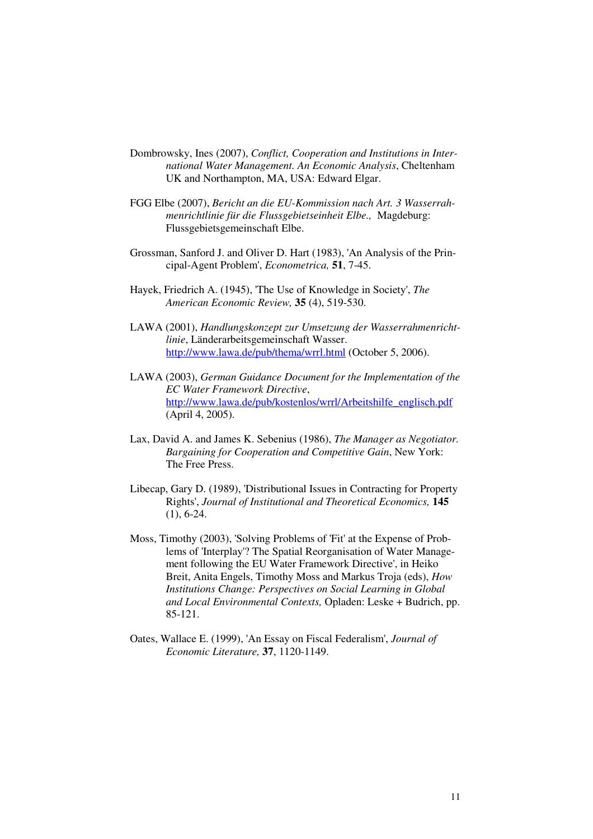- Dombrowsky, Ines (2007), *Conflict, Cooperation and Institutions in International Water Management. An Economic Analysis*, Cheltenham UK and Northampton, MA, USA: Edward Elgar.
- FGG Elbe (2007), *Bericht an die EU-Kommission nach Art. 3 Wasserrahmenrichtlinie für die Flussgebietseinheit Elbe.,* Magdeburg: Flussgebietsgemeinschaft Elbe.
- Grossman, Sanford J. and Oliver D. Hart (1983), 'An Analysis of the Principal-Agent Problem', *Econometrica,* **51**, 7-45.
- Hayek, Friedrich A. (1945), 'The Use of Knowledge in Society', *The American Economic Review,* **35** (4), 519-530.
- LAWA (2001), *Handlungskonzept zur Umsetzung der Wasserrahmenrichtlinie*, Länderarbeitsgemeinschaft Wasser. http://www.lawa.de/pub/thema/wrrl.html (October 5, 2006).
- LAWA (2003), *German Guidance Document for the Implementation of the EC Water Framework Directive*, http://www.lawa.de/pub/kostenlos/wrrl/Arbeitshilfe\_englisch.pdf (April 4, 2005).
- Lax, David A. and James K. Sebenius (1986), *The Manager as Negotiator. Bargaining for Cooperation and Competitive Gain*, New York: The Free Press.
- Libecap, Gary D. (1989), 'Distributional Issues in Contracting for Property Rights', *Journal of Institutional and Theoretical Economics,* **145** (1), 6-24.
- Moss, Timothy (2003), 'Solving Problems of 'Fit' at the Expense of Problems of 'Interplay'? The Spatial Reorganisation of Water Management following the EU Water Framework Directive', in Heiko Breit, Anita Engels, Timothy Moss and Markus Troja (eds), *How Institutions Change: Perspectives on Social Learning in Global and Local Environmental Contexts,* Opladen: Leske + Budrich, pp. 85-121.
- Oates, Wallace E. (1999), 'An Essay on Fiscal Federalism', *Journal of Economic Literature,* **37**, 1120-1149.